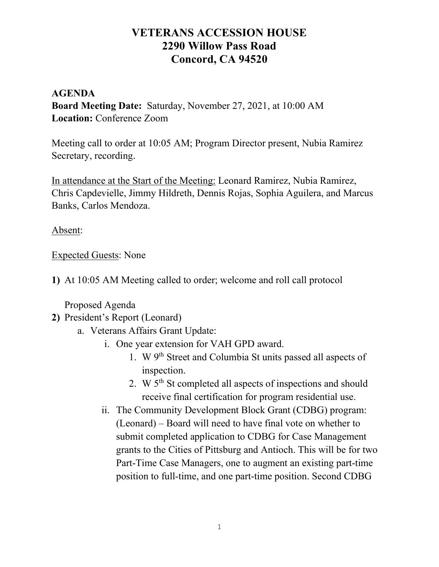## VETERANS ACCESSION HOUSE 2290 Willow Pass Road Concord, CA 94520

## AGENDA Board Meeting Date: Saturday, November 27, 2021, at 10:00 AM Location: Conference Zoom

Meeting call to order at 10:05 AM; Program Director present, Nubia Ramirez Secretary, recording.

In attendance at the Start of the Meeting: Leonard Ramirez, Nubia Ramirez, Chris Capdevielle, Jimmy Hildreth, Dennis Rojas, Sophia Aguilera, and Marcus Banks, Carlos Mendoza.

Absent:

Expected Guests: None

1) At 10:05 AM Meeting called to order; welcome and roll call protocol

Proposed Agenda

- 2) President's Report (Leonard)
	- a. Veterans Affairs Grant Update:
		- i. One year extension for VAH GPD award.
			- 1. W 9th Street and Columbia St units passed all aspects of inspection.
			- 2. W 5th St completed all aspects of inspections and should receive final certification for program residential use.
		- ii. The Community Development Block Grant (CDBG) program: (Leonard) – Board will need to have final vote on whether to submit completed application to CDBG for Case Management grants to the Cities of Pittsburg and Antioch. This will be for two Part-Time Case Managers, one to augment an existing part-time position to full-time, and one part-time position. Second CDBG